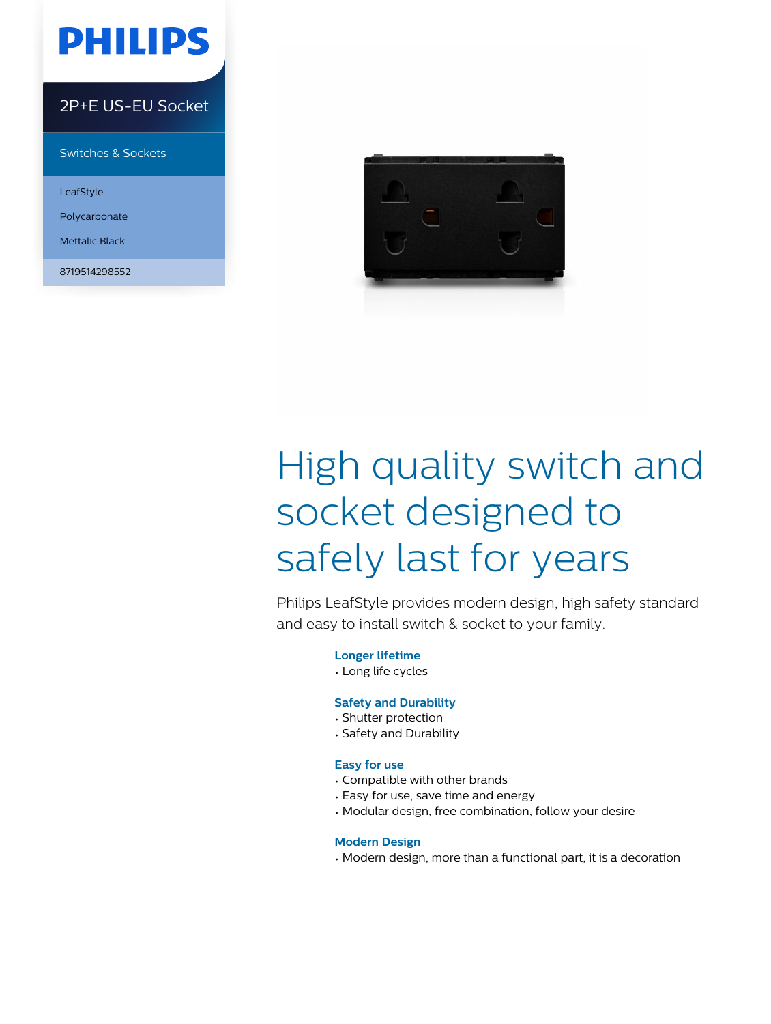

### 2P+E US-EU Socket

Switches & Sockets

LeafStyle

Polycarbonate

Mettalic Black

8719514298552



# High quality switch and socket designed to safely last for years

Philips LeafStyle provides modern design, high safety standard and easy to install switch & socket to your family.

**Longer lifetime**

• Long life cycles

#### **Safety and Durability**

- Shutter protection
- Safety and Durability

#### **Easy for use**

- Compatible with other brands
- Easy for use, save time and energy
- Modular design, free combination, follow your desire

#### **Modern Design**

• Modern design, more than a functional part, it is a decoration